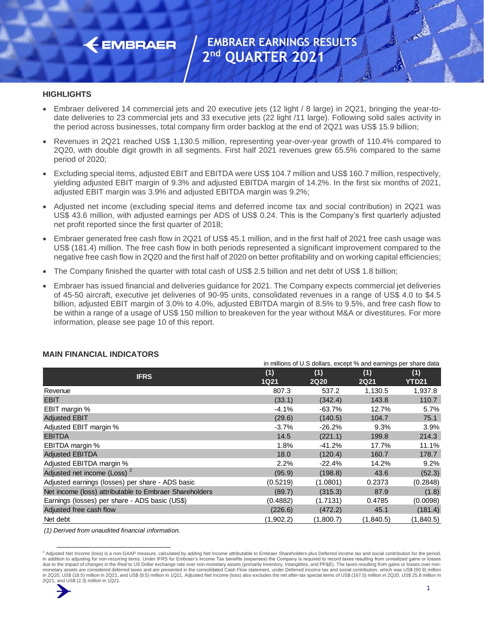

#### **HIGHLIGHTS**

- Embraer delivered 14 commercial jets and 20 executive jets (12 light / 8 large) in 2Q21, bringing the year-todate deliveries to 23 commercial jets and 33 executive jets (22 light /11 large). Following solid sales activity in the period across businesses, total company firm order backlog at the end of 2Q21 was US\$ 15.9 billion;
- Revenues in 2Q21 reached US\$ 1,130.5 million, representing year-over-year growth of 110.4% compared to 2Q20, with double digit growth in all segments. First half 2021 revenues grew 65.5% compared to the same period of 2020;
- Excluding special items, adjusted EBIT and EBITDA were US\$ 104.7 million and US\$ 160.7 million, respectively, yielding adjusted EBIT margin of 9.3% and adjusted EBITDA margin of 14.2%. In the first six months of 2021, adjusted EBIT margin was 3.9% and adjusted EBITDA margin was 9.2%;
- Adjusted net income (excluding special items and deferred income tax and social contribution) in 2Q21 was US\$ 43.6 million, with adjusted earnings per ADS of US\$ 0.24. This is the Company's first quarterly adjusted net profit reported since the first quarter of 2018;
- Embraer generated free cash flow in 2Q21 of US\$ 45.1 million, and in the first half of 2021 free cash usage was US\$ (181.4) million. The free cash flow in both periods represented a significant improvement compared to the negative free cash flow in 2Q20 and the first half of 2020 on better profitability and on working capital efficiencies;
- The Company finished the quarter with total cash of US\$ 2.5 billion and net debt of US\$ 1.8 billion;
- Embraer has issued financial and deliveries guidance for 2021. The Company expects commercial jet deliveries of 45-50 aircraft, executive jet deliveries of 90-95 units, consolidated revenues in a range of US\$ 4.0 to \$4.5 billion, adjusted EBIT margin of 3.0% to 4.0%, adjusted EBITDA margin of 8.5% to 9.5%, and free cash flow to be within a range of a usage of US\$ 150 million to breakeven for the year without M&A or divestitures. For more information, please see page 10 of this report.

|                                                        | in millions of U.S dollars, except % and earnings per share data |             |             |              |  |  |
|--------------------------------------------------------|------------------------------------------------------------------|-------------|-------------|--------------|--|--|
| <b>IFRS</b>                                            | (1)                                                              | (1)         | (1)         | (1)          |  |  |
|                                                        | <b>1Q21</b>                                                      | <b>2Q20</b> | <b>2Q21</b> | <b>YTD21</b> |  |  |
| Revenue                                                | 807.3                                                            | 537.2       | 1,130.5     | 1,937.8      |  |  |
| <b>EBIT</b>                                            | (33.1)                                                           | (342.4)     | 143.8       | 110.7        |  |  |
| EBIT margin %                                          | $-4.1%$                                                          | $-63.7%$    | 12.7%       | 5.7%         |  |  |
| <b>Adjusted EBIT</b>                                   | (29.6)                                                           | (140.5)     | 104.7       | 75.1         |  |  |
| Adjusted EBIT margin %                                 | $-3.7%$                                                          | $-26.2%$    | 9.3%        | 3.9%         |  |  |
| <b>EBITDA</b>                                          | 14.5                                                             | (221.1)     | 199.8       | 214.3        |  |  |
| EBITDA margin %                                        | 1.8%                                                             | $-41.2%$    | 17.7%       | 11.1%        |  |  |
| <b>Adjusted EBITDA</b>                                 | 18.0                                                             | (120.4)     | 160.7       | 178.7        |  |  |
| Adjusted EBITDA margin %                               | 2.2%                                                             | $-22.4%$    | 14.2%       | 9.2%         |  |  |
| Adjusted net income (Loss) <sup>2</sup>                | (95.9)                                                           | (198.8)     | 43.6        | (52.3)       |  |  |
| Adjusted earnings (losses) per share - ADS basic       | (0.5219)                                                         | (1.0801)    | 0.2373      | (0.2848)     |  |  |
| Net income (loss) attributable to Embraer Shareholders | (89.7)                                                           | (315.3)     | 87.9        | (1.8)        |  |  |
| Earnings (losses) per share - ADS basic (US\$)         | (0.4882)                                                         | (1.7131)    | 0.4785      | (0.0098)     |  |  |
| Adjusted free cash flow                                | (226.6)                                                          | (472.2)     | 45.1        | (181.4)      |  |  |
| Net debt                                               | (1,902.2)                                                        | (1,800.7)   | (1,840.5)   | (1,840.5)    |  |  |

#### **MAIN FINANCIAL INDICATORS**

*(1) Derived from unaudited financial information.*

<sup>&</sup>lt;sup>2</sup> Adjusted Net Income (loss) is a non-GAAP measure, calculated by adding Net Income attributable to Embraer Shareholders plus Deferred income tax and social contribution for the period, in addition to adjusting for non-recurring items. Under IFRS for Embraer's Income Tax benefits (expenses) the Company is required to record taxes resulting from unrealized gains or losses due to the impact of changes in the *Real* to US Dollar exchange rate over non-monetary assets (primarily Inventory, Intangibles, and PP&E). The taxes resulting from gains or losses over non-<br>monetary assets are considered in 2Q20, US\$ (18.5) million in 2Q21, and US\$ (8.5) million in 1Q21. Adjusted Net Income (loss) also excludes the net after-tax special items of US\$ (167.5) million in 2Q20, US\$ 25.8 million in 2Q21, and US\$ (2.3) million in 1Q21.

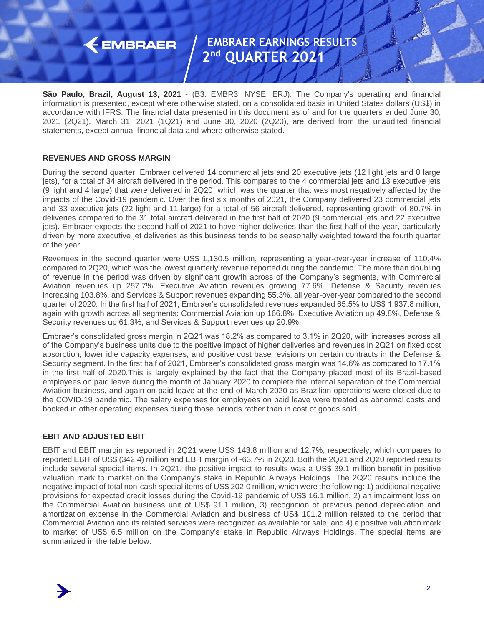## $\leftarrow$  EMBRAER

### **EMBRAER EARNINGS RESULTS 2 nd QUARTER 2021**

**São Paulo, Brazil, August 13, 2021** - (B3: EMBR3, NYSE: ERJ). The Company's operating and financial information is presented, except where otherwise stated, on a consolidated basis in United States dollars (US\$) in accordance with IFRS. The financial data presented in this document as of and for the quarters ended June 30, 2021 (2Q21), March 31, 2021 (1Q21) and June 30, 2020 (2Q20), are derived from the unaudited financial statements, except annual financial data and where otherwise stated.

### **REVENUES AND GROSS MARGIN**

During the second quarter, Embraer delivered 14 commercial jets and 20 executive jets (12 light jets and 8 large jets), for a total of 34 aircraft delivered in the period. This compares to the 4 commercial jets and 13 executive jets (9 light and 4 large) that were delivered in 2Q20, which was the quarter that was most negatively affected by the impacts of the Covid-19 pandemic. Over the first six months of 2021, the Company delivered 23 commercial jets and 33 executive jets (22 light and 11 large) for a total of 56 aircraft delivered, representing growth of 80.7% in deliveries compared to the 31 total aircraft delivered in the first half of 2020 (9 commercial jets and 22 executive jets). Embraer expects the second half of 2021 to have higher deliveries than the first half of the year, particularly driven by more executive jet deliveries as this business tends to be seasonally weighted toward the fourth quarter of the year.

Revenues in the second quarter were US\$ 1,130.5 million, representing a year-over-year increase of 110.4% compared to 2Q20, which was the lowest quarterly revenue reported during the pandemic. The more than doubling of revenue in the period was driven by significant growth across of the Company's segments, with Commercial Aviation revenues up 257.7%, Executive Aviation revenues growing 77.6%, Defense & Security revenues increasing 103.8%, and Services & Support revenues expanding 55.3%, all year-over-year compared to the second quarter of 2020. In the first half of 2021, Embraer's consolidated revenues expanded 65.5% to US\$ 1,937.8 million, again with growth across all segments: Commercial Aviation up 166.8%, Executive Aviation up 49.8%, Defense & Security revenues up 61.3%, and Services & Support revenues up 20.9%.

Embraer's consolidated gross margin in 2Q21 was 18.2% as compared to 3.1% in 2Q20, with increases across all of the Company's business units due to the positive impact of higher deliveries and revenues in 2Q21 on fixed cost absorption, lower idle capacity expenses, and positive cost base revisions on certain contracts in the Defense & Security segment. In the first half of 2021, Embraer's consolidated gross margin was 14.6% as compared to 17.1% in the first half of 2020.This is largely explained by the fact that the Company placed most of its Brazil-based employees on paid leave during the month of January 2020 to complete the internal separation of the Commercial Aviation business, and again on paid leave at the end of March 2020 as Brazilian operations were closed due to the COVID-19 pandemic. The salary expenses for employees on paid leave were treated as abnormal costs and booked in other operating expenses during those periods rather than in cost of goods sold.

### **EBIT AND ADJUSTED EBIT**

EBIT and EBIT margin as reported in 2Q21 were US\$ 143.8 million and 12.7%, respectively, which compares to reported EBIT of US\$ (342.4) million and EBIT margin of -63.7% in 2Q20. Both the 2Q21 and 2Q20 reported results include several special items. In 2Q21, the positive impact to results was a US\$ 39.1 million benefit in positive valuation mark to market on the Company's stake in Republic Airways Holdings. The 2Q20 results include the negative impact of total non-cash special items of US\$ 202.0 million, which were the following: 1) additional negative provisions for expected credit losses during the Covid-19 pandemic of US\$ 16.1 million, 2) an impairment loss on the Commercial Aviation business unit of US\$ 91.1 million, 3) recognition of previous period depreciation and amortization expense in the Commercial Aviation and business of US\$ 101.2 million related to the period that Commercial Aviation and its related services were recognized as available for sale, and 4) a positive valuation mark to market of US\$ 6.5 million on the Company's stake in Republic Airways Holdings. The special items are summarized in the table below.

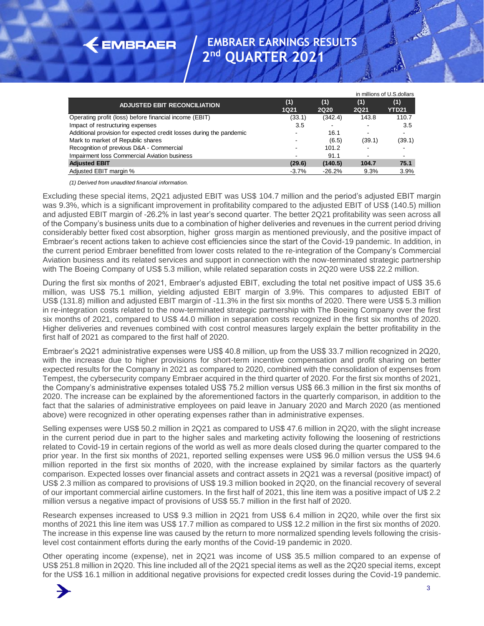|                                                                     |                    |                    |                          | in millions of U.S.dollars |
|---------------------------------------------------------------------|--------------------|--------------------|--------------------------|----------------------------|
| <b>ADJUSTED EBIT RECONCILIATION</b>                                 | (1)<br><b>1Q21</b> | (1)<br><b>2Q20</b> | (1)<br><b>2Q21</b>       | (1)<br><b>YTD21</b>        |
| Operating profit (loss) before financial income (EBIT)              | (33.1)             | (342.4)            | 143.8                    | 110.7                      |
| Impact of restructuring expenses                                    | 3.5                |                    |                          | 3.5                        |
| Additional provision for expected credit losses during the pandemic |                    | 16.1               | $\overline{\phantom{a}}$ | $\overline{\phantom{a}}$   |
| Mark to market of Republic shares                                   |                    | (6.5)              | (39.1)                   | (39.1)                     |
| Recognition of previous D&A - Commercial                            | ۰.                 | 101.2              |                          | $\sim$                     |
| Impairment loss Commercial Aviation business                        |                    | 91.1               |                          | $\overline{\phantom{a}}$   |
| <b>Adjusted EBIT</b>                                                | (29.6)             | (140.5)            | 104.7                    | 75.1                       |
| Adjusted EBIT margin %                                              | $-3.7%$            | $-26.2%$           | 9.3%                     | 3.9%                       |

*(1) Derived from unaudited financial information.*

 $\leftarrow$  EMBRAER

Excluding these special items, 2Q21 adjusted EBIT was US\$ 104.7 million and the period's adjusted EBIT margin was 9.3%, which is a significant improvement in profitability compared to the adjusted EBIT of US\$ (140.5) million and adjusted EBIT margin of -26.2% in last year's second quarter. The better 2Q21 profitability was seen across all of the Company's business units due to a combination of higher deliveries and revenues in the current period driving considerably better fixed cost absorption, higher gross margin as mentioned previously, and the positive impact of Embraer's recent actions taken to achieve cost efficiencies since the start of the Covid-19 pandemic. In addition, in the current period Embraer benefitted from lower costs related to the re-integration of the Company's Commercial Aviation business and its related services and support in connection with the now-terminated strategic partnership with The Boeing Company of US\$ 5.3 million, while related separation costs in 2Q20 were US\$ 22.2 million. **Covid-19 covid-19 pandemic in additional neuro-wealth in a million in a million in a million in a million in additional neuro-wealth in a million in a million in a million in a million in a million in a million in a mill** 

During the first six months of 2021, Embraer's adjusted EBIT, excluding the total net positive impact of US\$ 35.6 million, was US\$ 75.1 million, yielding adjusted EBIT margin of 3.9%. This compares to adjusted EBIT of US\$ (131.8) million and adjusted EBIT margin of -11.3% in the first six months of 2020. There were US\$ 5.3 million in re-integration costs related to the now-terminated strategic partnership with The Boeing Company over the first six months of 2021, compared to US\$ 44.0 million in separation costs recognized in the first six months of 2020. Higher deliveries and revenues combined with cost control measures largely explain the better profitability in the first half of 2021 as compared to the first half of 2020.

Embraer's 2Q21 administrative expenses were US\$ 40.8 million, up from the US\$ 33.7 million recognized in 2Q20, with the increase due to higher provisions for short-term incentive compensation and profit sharing on better expected results for the Company in 2021 as compared to 2020, combined with the consolidation of expenses from Tempest, the cybersecurity company Embraer acquired in the third quarter of 2020. For the first six months of 2021, the Company's administrative expenses totaled US\$ 75.2 million versus US\$ 66.3 million in the first six months of 2020. The increase can be explained by the aforementioned factors in the quarterly comparison, in addition to the fact that the salaries of administrative employees on paid leave in January 2020 and March 2020 (as mentioned above) were recognized in other operating expenses rather than in administrative expenses.

Selling expenses were US\$ 50.2 million in 2Q21 as compared to US\$ 47.6 million in 2Q20, with the slight increase in the current period due in part to the higher sales and marketing activity following the loosening of restrictions related to Covid-19 in certain regions of the world as well as more deals closed during the quarter compared to the prior year. In the first six months of 2021, reported selling expenses were US\$ 96.0 million versus the US\$ 94.6 million reported in the first six months of 2020, with the increase explained by similar factors as the quarterly comparison. Expected losses over financial assets and contract assets in 2Q21 was a reversal (positive impact) of US\$ 2.3 million as compared to provisions of US\$ 19.3 million booked in 2Q20, on the financial recovery of several of our important commercial airline customers. In the first half of 2021, this line item was a positive impact of U\$ 2.2 million versus a negative impact of provisions of US\$ 55.7 million in the first half of 2020.

Research expenses increased to US\$ 9.3 million in 2Q21 from US\$ 6.4 million in 2Q20, while over the first six months of 2021 this line item was US\$ 17.7 million as compared to US\$ 12.2 million in the first six months of 2020. The increase in this expense line was caused by the return to more normalized spending levels following the crisislevel cost containment efforts during the early months of the Covid-19 pandemic in 2020.

Other operating income (expense), net in 2Q21 was income of US\$ 35.5 million compared to an expense of US\$ 251.8 million in 2Q20. This line included all of the 2Q21 special items as well as the 2Q20 special items, except

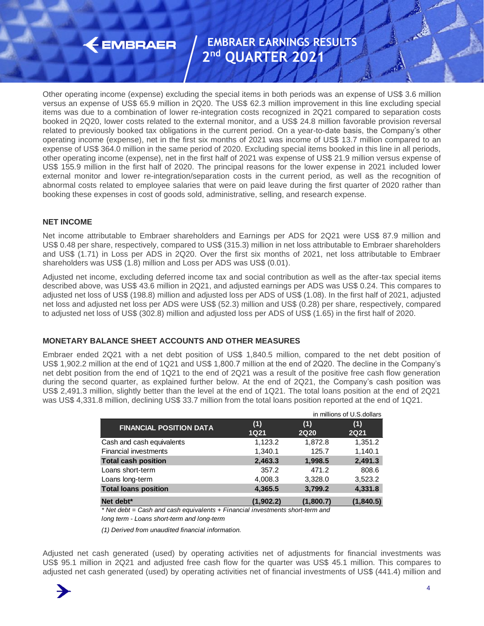### $\leftarrow$  EMBRAER

### **EMBRAER EARNINGS RESULTS 2 nd QUARTER 2021**

Other operating income (expense) excluding the special items in both periods was an expense of US\$ 3.6 million versus an expense of US\$ 65.9 million in 2Q20. The US\$ 62.3 million improvement in this line excluding special items was due to a combination of lower re-integration costs recognized in 2Q21 compared to separation costs booked in 2Q20, lower costs related to the external monitor, and a US\$ 24.8 million favorable provision reversal related to previously booked tax obligations in the current period. On a year-to-date basis, the Company's other operating income (expense), net in the first six months of 2021 was income of US\$ 13.7 million compared to an expense of US\$ 364.0 million in the same period of 2020. Excluding special items booked in this line in all periods, other operating income (expense), net in the first half of 2021 was expense of US\$ 21.9 million versus expense of US\$ 155.9 million in the first half of 2020. The principal reasons for the lower expense in 2021 included lower external monitor and lower re-integration/separation costs in the current period, as well as the recognition of abnormal costs related to employee salaries that were on paid leave during the first quarter of 2020 rather than booking these expenses in cost of goods sold, administrative, selling, and research expense.

### **NET INCOME**

Net income attributable to Embraer shareholders and Earnings per ADS for 2Q21 were US\$ 87.9 million and US\$ 0.48 per share, respectively, compared to US\$ (315.3) million in net loss attributable to Embraer shareholders and US\$ (1.71) in Loss per ADS in 2Q20. Over the first six months of 2021, net loss attributable to Embraer shareholders was US\$ (1.8) million and Loss per ADS was US\$ (0.01).

Adjusted net income, excluding deferred income tax and social contribution as well as the after-tax special items described above, was US\$ 43.6 million in 2Q21, and adjusted earnings per ADS was US\$ 0.24. This compares to adjusted net loss of US\$ (198.8) million and adjusted loss per ADS of US\$ (1.08). In the first half of 2021, adjusted net loss and adjusted net loss per ADS were US\$ (52.3) million and US\$ (0.28) per share, respectively, compared to adjusted net loss of US\$ (302.8) million and adjusted loss per ADS of US\$ (1.65) in the first half of 2020.

### **MONETARY BALANCE SHEET ACCOUNTS AND OTHER MEASURES**

Embraer ended 2Q21 with a net debt position of US\$ 1,840.5 million, compared to the net debt position of US\$ 1,902.2 million at the end of 1Q21 and US\$ 1,800.7 million at the end of 2Q20. The decline in the Company's net debt position from the end of 1Q21 to the end of 2Q21 was a result of the positive free cash flow generation during the second quarter, as explained further below. At the end of 2Q21, the Company's cash position was US\$ 2,491.3 million, slightly better than the level at the end of 1Q21. The total loans position at the end of 2Q21 was US\$ 4,331.8 million, declining US\$ 33.7 million from the total loans position reported at the end of 1Q21.

|                                                                                                                     |             |             | in millions of U.S. dollars |
|---------------------------------------------------------------------------------------------------------------------|-------------|-------------|-----------------------------|
| <b>FINANCIAL POSITION DATA</b>                                                                                      | (1)         | (1)         | (1)                         |
|                                                                                                                     | <b>1Q21</b> | <b>2Q20</b> | <b>2Q21</b>                 |
| Cash and cash equivalents                                                                                           | 1,123.2     | 1,872.8     | 1,351.2                     |
| <b>Financial investments</b>                                                                                        | 1,340.1     | 125.7       | 1,140.1                     |
| <b>Total cash position</b>                                                                                          | 2,463.3     | 1,998.5     | 2,491.3                     |
| Loans short-term                                                                                                    | 357.2       | 471.2       | 808.6                       |
| Loans long-term                                                                                                     | 4,008.3     | 3,328.0     | 3,523.2                     |
| <b>Total loans position</b>                                                                                         | 4,365.5     | 3,799.2     | 4,331.8                     |
| Net debt <sup>*</sup>                                                                                               | (1.902.2)   | (1,800.7)   | (1,840.5)                   |
| * Net debt = Cash and cash equivalents + Financial investments short-term and                                       |             |             |                             |
| long term - Loans short-term and long-term                                                                          |             |             |                             |
| (1) Derived from unaudited financial information.                                                                   |             |             |                             |
|                                                                                                                     |             |             |                             |
| Adjusted net cash generated (used) by operating activities net of adjustments for financial investments was         |             |             |                             |
| US\$ 95.1 million in 2Q21 and adjusted free cash flow for the quarter was US\$ 45.1 million. This compares to       |             |             |                             |
| adjusted net cash generated (used) by operating activities net of financial investments of US\$ (441.4) million and |             |             |                             |

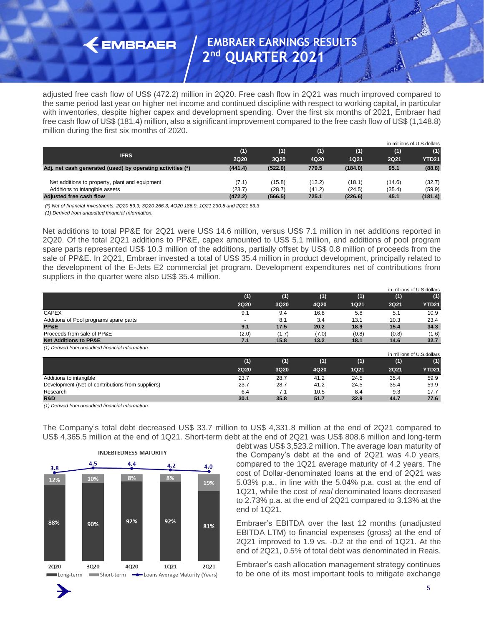adjusted free cash flow of US\$ (472.2) million in 2Q20. Free cash flow in 2Q21 was much improved compared to the same period last year on higher net income and continued discipline with respect to working capital, in particular with inventories, despite higher capex and development spending. Over the first six months of 2021, Embraer had free cash flow of US\$ (181.4) million, also a significant improvement compared to the free cash flow of US\$ (1,148.8) million during the first six months of 2020.

|                                                            |             |         |        |             |             | in millions of U.S.dollars |
|------------------------------------------------------------|-------------|---------|--------|-------------|-------------|----------------------------|
|                                                            | (1)         | (1)     | (1)    | (1)         | (1)         | (1)                        |
| <b>IFRS</b>                                                | <b>2Q20</b> | 3Q20    | 4Q20   | <b>1Q21</b> | <b>2Q21</b> | <b>YTD21</b>               |
| Adj. net cash generated (used) by operating activities (*) | (441.4)     | (522.0) | 779.5  | (184.0)     | 95.1        | (88.8)                     |
| Net additions to property, plant and equipment             | (7.1)       | (15.8)  | (13.2) | (18.1)      | (14.6)      | (32.7)                     |
| Additions to intangible assets                             | (23.7)      | (28.7)  | (41.2) | (24.5)      | (35.4)      | (59.9)                     |
| Adjusted free cash flow                                    | (472.2)     | (566.5) | 725.1  | (226.6)     | 45.1        | (181.4)                    |
|                                                            |             |         |        |             |             |                            |

**EMBRAER** 

| <b>IFRS</b>                                                                                                                                                                   | (1)<br><b>2Q20</b> | (1)<br>3Q20                                                                                                          | (1)<br>4Q20  | (1)<br><b>1Q21</b> | (1)<br><b>2Q21</b> | (1)<br>YTD21                      |
|-------------------------------------------------------------------------------------------------------------------------------------------------------------------------------|--------------------|----------------------------------------------------------------------------------------------------------------------|--------------|--------------------|--------------------|-----------------------------------|
| Adj. net cash generated (used) by operating activities (*)                                                                                                                    | (441.4)            | (522.0)                                                                                                              | 779.5        | (184.0)            | 95.1               | (88.8)                            |
| Net additions to property, plant and equipment                                                                                                                                | (7.1)              | (15.8)                                                                                                               | (13.2)       | (18.1)             | (14.6)             | (32.7)                            |
| Additions to intangible assets                                                                                                                                                | (23.7)             | (28.7)                                                                                                               | (41.2)       | (24.5)             | (35.4)             | (59.9)                            |
| Adjusted free cash flow<br>(*) Net of financial investments: 2Q20 59.9, 3Q20 266.3, 4Q20 186.9, 1Q21 230.5 and 2Q21 63.3<br>(1) Derived from unaudited financial information. | (472.2)            | (566.5)                                                                                                              | 725.1        | (226.6)            | 45.1               | (181.4)                           |
|                                                                                                                                                                               |                    |                                                                                                                      |              |                    |                    |                                   |
| Net additions to total PP&E for 2Q21 were US\$ 14.6 million, versus US\$ 7.1 million in net additions reported in                                                             |                    |                                                                                                                      |              |                    |                    |                                   |
| 2Q20. Of the total 2Q21 additions to PP&E, capex amounted to US\$ 5.1 million, and additions of pool program                                                                  |                    |                                                                                                                      |              |                    |                    |                                   |
| spare parts represented US\$ 10.3 million of the additions, partially offset by US\$ 0.8 million of proceeds from the                                                         |                    |                                                                                                                      |              |                    |                    |                                   |
| sale of PP&E. In 2Q21, Embraer invested a total of US\$ 35.4 million in product development, principally related to                                                           |                    |                                                                                                                      |              |                    |                    |                                   |
| the development of the E-Jets E2 commercial jet program. Development expenditures net of contributions from                                                                   |                    |                                                                                                                      |              |                    |                    |                                   |
| suppliers in the quarter were also US\$ 35.4 million.                                                                                                                         |                    |                                                                                                                      |              |                    |                    |                                   |
|                                                                                                                                                                               | (1)                | (1)                                                                                                                  | (1)          | (1)                | (1)                | in millions of U.S.dollars<br>(1) |
|                                                                                                                                                                               | <b>2Q20</b>        | 3Q20                                                                                                                 | 4Q20         | <b>1Q21</b>        | <b>2Q21</b>        | <b>YTD21</b>                      |
| <b>CAPEX</b>                                                                                                                                                                  | 9.1                | 9.4                                                                                                                  | 16.8         | 5.8                | 5.1                | 10.9                              |
| Additions of Pool programs spare parts<br>PP&E                                                                                                                                | 9.1                | 8.1<br>17.5                                                                                                          | 3.4<br>20.2  | 13.1<br>18.9       | 10.3<br>15.4       | 23.4<br>34.3                      |
| Proceeds from sale of PP&E                                                                                                                                                    | (2.0)              | (1.7)                                                                                                                | (7.0)        | (0.8)              | (0.8)              | (1.6)                             |
| <b>Net Additions to PP&amp;E</b><br>(1) Derived from unaudited financial information.                                                                                         | 7.1                | 15.8                                                                                                                 | 13.2         | 18.1               | 14.6               | 32.7                              |
|                                                                                                                                                                               |                    |                                                                                                                      |              |                    |                    | in millions of U.S.dollars        |
|                                                                                                                                                                               | (1)<br><b>2Q20</b> | (1)<br>3Q20                                                                                                          | (1)<br>4Q20  | (1)<br><b>1Q21</b> | (1)<br><b>2Q21</b> | (1)<br><b>YTD21</b>               |
| Additions to intangible                                                                                                                                                       | 23.7               | 28.7                                                                                                                 | 41.2         | 24.5               | 35.4               | 59.9                              |
| Development (Net of contributions from suppliers)                                                                                                                             | 23.7               | 28.7                                                                                                                 | 41.2         | 24.5               | 35.4               | 59.9                              |
| Research<br>R&D                                                                                                                                                               | 6.4<br>30.1        | 7.1<br>35.8                                                                                                          | 10.5<br>51.7 | 8.4<br>32.9        | 9.3<br>44.7        | 17.7<br>77.6                      |
| (1) Derived from unaudited financial information.                                                                                                                             |                    |                                                                                                                      |              |                    |                    |                                   |
|                                                                                                                                                                               |                    |                                                                                                                      |              |                    |                    |                                   |
|                                                                                                                                                                               |                    |                                                                                                                      |              |                    |                    |                                   |
| The Company's total debt decreased US\$ 33.7 million to US\$ 4,331.8 million at the end of 2Q21 compared to                                                                   |                    |                                                                                                                      |              |                    |                    |                                   |
| US\$ 4,365.5 million at the end of 1Q21. Short-term debt at the end of 2Q21 was US\$ 808.6 million and long-term                                                              |                    |                                                                                                                      |              |                    |                    |                                   |
|                                                                                                                                                                               |                    | debt was US\$ 3,523.2 million. The average loan maturity of                                                          |              |                    |                    |                                   |
| <b>INDEBTEDNESS MATURITY</b>                                                                                                                                                  |                    | the Company's debt at the end of 2Q21 was 4.0 years,                                                                 |              |                    |                    |                                   |
| 4.5<br>4.4<br>4.2<br>4.0<br>3.8                                                                                                                                               |                    | compared to the 1Q21 average maturity of 4.2 years. The                                                              |              |                    |                    |                                   |
| 8%<br>8%<br>10%<br>12%                                                                                                                                                        |                    | cost of Dollar-denominated loans at the end of 2Q21 was                                                              |              |                    |                    |                                   |
| 19%                                                                                                                                                                           |                    | 5.03% p.a., in line with the 5.04% p.a. cost at the end of                                                           |              |                    |                    |                                   |
|                                                                                                                                                                               |                    | 1Q21, while the cost of real denominated loans decreased                                                             |              |                    |                    |                                   |
|                                                                                                                                                                               | end of 1Q21.       | to 2.73% p.a. at the end of 2Q21 compared to 3.13% at the                                                            |              |                    |                    |                                   |
| 92%<br>92%                                                                                                                                                                    |                    |                                                                                                                      |              |                    |                    |                                   |
| 88%<br>90%<br>81%                                                                                                                                                             |                    | Embraer's EBITDA over the last 12 months (unadjusted                                                                 |              |                    |                    |                                   |
|                                                                                                                                                                               |                    | EBITDA LTM) to financial expenses (gross) at the end of                                                              |              |                    |                    |                                   |
|                                                                                                                                                                               |                    | 2Q21 improved to 1.9 vs. -0.2 at the end of 1Q21. At the                                                             |              |                    |                    |                                   |
| 2Q20<br>3Q20<br>4Q20<br>1Q21<br>2021                                                                                                                                          |                    | end of 2Q21, 0.5% of total debt was denominated in Reais.<br>Embraer's cash allocation management strategy continues |              |                    |                    |                                   |

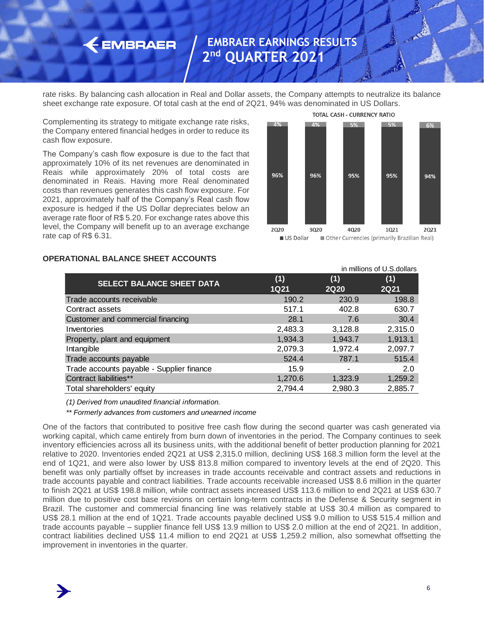rate risks. By balancing cash allocation in Real and Dollar assets, the Company attempts to neutralize its balance sheet exchange rate exposure. Of total cash at the end of 2Q21, 94% was denominated in US Dollars.

Complementing its strategy to mitigate exchange rate risks, the Company entered financial hedges in order to reduce its cash flow exposure.

 $\leftarrow$  EMBRAER

The Company's cash flow exposure is due to the fact that approximately 10% of its net revenues are denominated in Reais while approximately 20% of total costs are denominated in Reais. Having more Real denominated costs than revenues generates this cash flow exposure. For 2021, approximately half of the Company's Real cash flow exposure is hedged if the US Dollar depreciates below an average rate floor of R\$ 5.20. For exchange rates above this level, the Company will benefit up to an average exchange rate cap of R\$ 6.31.



TOTAL CASH - CURRENCY RATIO



### **OPERATIONAL BALANCE SHEET ACCOUNTS**

*(1) Derived from unaudited financial information.*

*\*\* Formerly advances from customers and unearned income*

One of the factors that contributed to positive free cash flow during the second quarter was cash generated via working capital, which came entirely from burn down of inventories in the period. The Company continues to seek inventory efficiencies across all its business units, with the additional benefit of better production planning for 2021 relative to 2020. Inventories ended 2Q21 at US\$ 2,315.0 million, declining US\$ 168.3 million form the level at the end of 1Q21, and were also lower by US\$ 813.8 million compared to inventory levels at the end of 2Q20. This benefit was only partially offset by increases in trade accounts receivable and contract assets and reductions in trade accounts payable and contract liabilities. Trade accounts receivable increased US\$ 8.6 million in the quarter to finish 2Q21 at US\$ 198.8 million, while contract assets increased US\$ 113.6 million to end 2Q21 at US\$ 630.7 million due to positive cost base revisions on certain long-term contracts in the Defense & Security segment in Brazil. The customer and commercial financing line was relatively stable at US\$ 30.4 million as compared to US\$ 28.1 million at the end of 1Q21. Trade accounts payable declined US\$ 9.0 million to US\$ 515.4 million and trade accounts payable – supplier finance fell US\$ 13.9 million to US\$ 2.0 million at the end of 2Q21. In addition, contract liabilities declined US\$ 11.4 million to end 2Q21 at US\$ 1,259.2 million, also somewhat offsetting the improvement in inventories in the quarter.

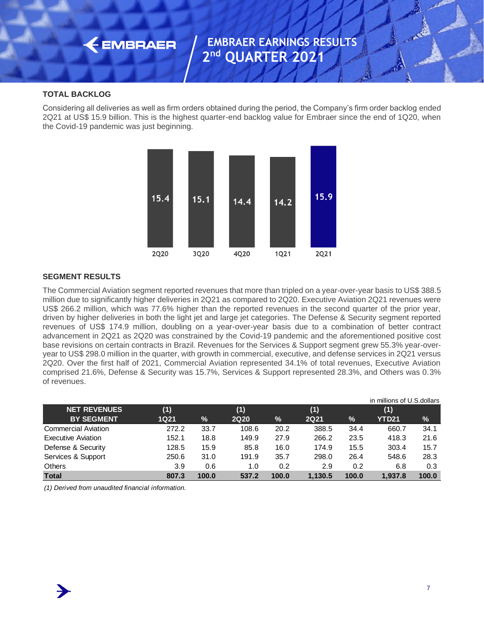#### **TOTAL BACKLOG**

**EMBRAER** 

Considering all deliveries as well as firm orders obtained during the period, the Company's firm order backlog ended 2Q21 at US\$ 15.9 billion. This is the highest quarter-end backlog value for Embraer since the end of 1Q20, when the Covid-19 pandemic was just beginning.



#### **SEGMENT RESULTS**

The Commercial Aviation segment reported revenues that more than tripled on a year-over-year basis to US\$ 388.5 million due to significantly higher deliveries in 2Q21 as compared to 2Q20. Executive Aviation 2Q21 revenues were US\$ 266.2 million, which was 77.6% higher than the reported revenues in the second quarter of the prior year, driven by higher deliveries in both the light jet and large jet categories. The Defense & Security segment reported revenues of US\$ 174.9 million, doubling on a year-over-year basis due to a combination of better contract advancement in 2Q21 as 2Q20 was constrained by the Covid-19 pandemic and the aforementioned positive cost base revisions on certain contracts in Brazil. Revenues for the Services & Support segment grew 55.3% year-overyear to US\$ 298.0 million in the quarter, with growth in commercial, executive, and defense services in 2Q21 versus 2Q20. Over the first half of 2021, Commercial Aviation represented 34.1% of total revenues, Executive Aviation comprised 21.6%, Defense & Security was 15.7%, Services & Support represented 28.3%, and Others was 0.3% of revenues.

|                            |             |       |             |       |             |       | in millions of U.S.dollars |       |
|----------------------------|-------------|-------|-------------|-------|-------------|-------|----------------------------|-------|
| <b>NET REVENUES</b>        | (1)         |       | (1)         |       | (1)         |       | (1)                        |       |
| <b>BY SEGMENT</b>          | <b>1Q21</b> | $\%$  | <b>2Q20</b> | %     | <b>2Q21</b> | $\%$  | YTD21                      | $\%$  |
| <b>Commercial Aviation</b> | 272.2       | 33.7  | 108.6       | 20.2  | 388.5       | 34.4  | 660.7                      | 34.1  |
| <b>Executive Aviation</b>  | 152.1       | 18.8  | 149.9       | 27.9  | 266.2       | 23.5  | 418.3                      | 21.6  |
| Defense & Security         | 128.5       | 15.9  | 85.8        | 16.0  | 174.9       | 15.5  | 303.4                      | 15.7  |
| Services & Support         | 250.6       | 31.0  | 191.9       | 35.7  | 298.0       | 26.4  | 548.6                      | 28.3  |
| <b>Others</b>              | 3.9         | 0.6   | 1.0         | 0.2   | 2.9         | 0.2   | 6.8                        | 0.3   |
| <b>Total</b>               | 807.3       | 100.0 | 537.2       | 100.0 | 1.130.5     | 100.0 | 1.937.8                    | 100.0 |

*(1) Derived from unaudited financial information.*

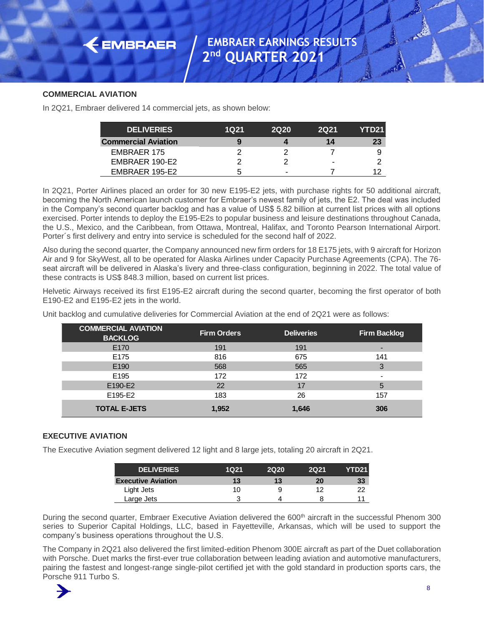#### **COMMERCIAL AVIATION**

In 2Q21, Embraer delivered 14 commercial jets, as shown below:

 $\leftarrow$  EMBRAER

| <b>DELIVERIES</b>          | 1021 | <b>2Q20</b> | <b>2Q21</b> | YTD21 I |
|----------------------------|------|-------------|-------------|---------|
| <b>Commercial Aviation</b> |      |             | 14          | 23      |
| <b>EMBRAER 175</b>         |      |             |             |         |
| EMBRAER 190-E2             |      |             | -           |         |
| EMBRAER 195-E2             | ∽    |             |             |         |

In 2Q21, Porter Airlines placed an order for 30 new E195-E2 jets, with purchase rights for 50 additional aircraft, becoming the North American launch customer for Embraer's newest family of jets, the E2. The deal was included in the Company's second quarter backlog and has a value of US\$ 5.82 billion at current list prices with all options exercised. Porter intends to deploy the E195-E2s to popular business and leisure destinations throughout Canada, the U.S., Mexico, and the Caribbean, from Ottawa, Montreal, Halifax, and Toronto Pearson International Airport. Porter´s first delivery and entry into service is scheduled for the second half of 2022.

Also during the second quarter, the Company announced new firm orders for 18 E175 jets, with 9 aircraft for Horizon Air and 9 for SkyWest, all to be operated for Alaska Airlines under Capacity Purchase Agreements (CPA). The 76 seat aircraft will be delivered in Alaska's livery and three-class configuration, beginning in 2022. The total value of these contracts is US\$ 848.3 million, based on current list prices.

Helvetic Airways received its first E195-E2 aircraft during the second quarter, becoming the first operator of both E190-E2 and E195-E2 jets in the world.

| <b>DELIVERIES</b>                                                                                                                                                                                                                                                                                                                                                                                                                                                                                                                                                                                                                                                 | <b>1Q21</b>        | <b>2Q20</b>       | <b>2Q21</b>    | YTD21               |  |
|-------------------------------------------------------------------------------------------------------------------------------------------------------------------------------------------------------------------------------------------------------------------------------------------------------------------------------------------------------------------------------------------------------------------------------------------------------------------------------------------------------------------------------------------------------------------------------------------------------------------------------------------------------------------|--------------------|-------------------|----------------|---------------------|--|
| <b>Commercial Aviation</b>                                                                                                                                                                                                                                                                                                                                                                                                                                                                                                                                                                                                                                        | 9                  | 4                 | 14             | 23                  |  |
| <b>EMBRAER 175</b>                                                                                                                                                                                                                                                                                                                                                                                                                                                                                                                                                                                                                                                | 2                  | $\overline{c}$    | $\overline{7}$ | 9                   |  |
| EMBRAER 190-E2                                                                                                                                                                                                                                                                                                                                                                                                                                                                                                                                                                                                                                                    | $\overline{2}$     | $\overline{2}$    |                | $\overline{2}$      |  |
| EMBRAER 195-E2                                                                                                                                                                                                                                                                                                                                                                                                                                                                                                                                                                                                                                                    | 5                  |                   | $\overline{7}$ | 12 <sup>2</sup>     |  |
| In 2Q21, Porter Airlines placed an order for 30 new E195-E2 jets, with purchase rights for 50 additional ai<br>becoming the North American launch customer for Embraer's newest family of jets, the E2. The deal was inc<br>in the Company's second quarter backlog and has a value of US\$ 5.82 billion at current list prices with all o<br>exercised. Porter intends to deploy the E195-E2s to popular business and leisure destinations throughout Ca<br>the U.S., Mexico, and the Caribbean, from Ottawa, Montreal, Halifax, and Toronto Pearson International A<br>Porter's first delivery and entry into service is scheduled for the second half of 2022. |                    |                   |                |                     |  |
| Also during the second quarter, the Company announced new firm orders for 18 E175 jets, with 9 aircraft for He<br>Air and 9 for SkyWest, all to be operated for Alaska Airlines under Capacity Purchase Agreements (CPA). Th<br>seat aircraft will be delivered in Alaska's livery and three-class configuration, beginning in 2022. The total va<br>these contracts is US\$ 848.3 million, based on current list prices.                                                                                                                                                                                                                                         |                    |                   |                |                     |  |
| Helvetic Airways received its first E195-E2 aircraft during the second quarter, becoming the first operator o<br>E190-E2 and E195-E2 jets in the world.                                                                                                                                                                                                                                                                                                                                                                                                                                                                                                           |                    |                   |                |                     |  |
| Unit backlog and cumulative deliveries for Commercial Aviation at the end of 2Q21 were as follows:                                                                                                                                                                                                                                                                                                                                                                                                                                                                                                                                                                |                    |                   |                |                     |  |
| <b>COMMERCIAL AVIATION</b><br><b>BACKLOG</b>                                                                                                                                                                                                                                                                                                                                                                                                                                                                                                                                                                                                                      | <b>Firm Orders</b> | <b>Deliveries</b> |                | <b>Firm Backlog</b> |  |
| E170                                                                                                                                                                                                                                                                                                                                                                                                                                                                                                                                                                                                                                                              | 191                | 191               |                |                     |  |
| E175                                                                                                                                                                                                                                                                                                                                                                                                                                                                                                                                                                                                                                                              | 816                | 675               |                | 141                 |  |
| E190                                                                                                                                                                                                                                                                                                                                                                                                                                                                                                                                                                                                                                                              | 568                | 565               |                | 3                   |  |
| E195                                                                                                                                                                                                                                                                                                                                                                                                                                                                                                                                                                                                                                                              | 172                | 172               |                |                     |  |
| E190-E2                                                                                                                                                                                                                                                                                                                                                                                                                                                                                                                                                                                                                                                           | 22                 | 17                |                | 5                   |  |
| E195-E2                                                                                                                                                                                                                                                                                                                                                                                                                                                                                                                                                                                                                                                           | 183                | 26                |                | 157                 |  |
| <b>TOTAL E-JETS</b>                                                                                                                                                                                                                                                                                                                                                                                                                                                                                                                                                                                                                                               | 1,952              | 1,646             |                | 306                 |  |
| <b>EXECUTIVE AVIATION</b><br>The Executive Aviation segment delivered 12 light and 8 large jets, totaling 20 aircraft in 2Q21.                                                                                                                                                                                                                                                                                                                                                                                                                                                                                                                                    |                    |                   |                |                     |  |
| <b>DELIVERIES</b>                                                                                                                                                                                                                                                                                                                                                                                                                                                                                                                                                                                                                                                 | <b>1Q21</b>        | <b>2Q20</b>       | <b>2Q21</b>    | <b>YTD21</b>        |  |
| <b>Executive Aviation</b>                                                                                                                                                                                                                                                                                                                                                                                                                                                                                                                                                                                                                                         | 13                 | 13                | 20             | 33 <sub>°</sub>     |  |
| Light Jets                                                                                                                                                                                                                                                                                                                                                                                                                                                                                                                                                                                                                                                        | 10                 | 9                 | 12             | 22                  |  |
| Large Jets                                                                                                                                                                                                                                                                                                                                                                                                                                                                                                                                                                                                                                                        | 3                  | 4                 | 8              | 11                  |  |
| During the second quarter, Embraer Executive Aviation delivered the 600 <sup>th</sup> aircraft in the successful Phenor<br>series to Superior Capital Holdings, LLC, based in Fayetteville, Arkansas, which will be used to suppo<br>company's business operations throughout the U.S.                                                                                                                                                                                                                                                                                                                                                                            |                    |                   |                |                     |  |
| The Company in 2Q21 also delivered the first limited-edition Phenom 300E aircraft as part of the Duet collabo<br>with Porsche. Duet marks the first-ever true collaboration between leading aviation and automotive manufact<br>pairing the fastest and longest-range single-pilot certified jet with the gold standard in production sports car<br>Porsche 911 Turbo S.                                                                                                                                                                                                                                                                                          |                    |                   |                |                     |  |

#### **EXECUTIVE AVIATION**

| <b>DELIVERIES</b>         | 1021 | 2020 | 2021 | YTD21 |
|---------------------------|------|------|------|-------|
| <b>Executive Aviation</b> | 13   | 13   | 20   | 33    |
| Light Jets                | 10   | 9    | 12   | 22    |
| Large Jets                | 2    |      | я    |       |

During the second quarter, Embraer Executive Aviation delivered the 600<sup>th</sup> aircraft in the successful Phenom 300 series to Superior Capital Holdings, LLC, based in Fayetteville, Arkansas, which will be used to support the company's business operations throughout the U.S.

The Company in 2Q21 also delivered the first limited-edition Phenom 300E aircraft as part of the Duet collaboration with Porsche. Duet marks the first-ever true collaboration between leading aviation and automotive manufacturers, pairing the fastest and longest-range single-pilot certified jet with the gold standard in production sports cars, the

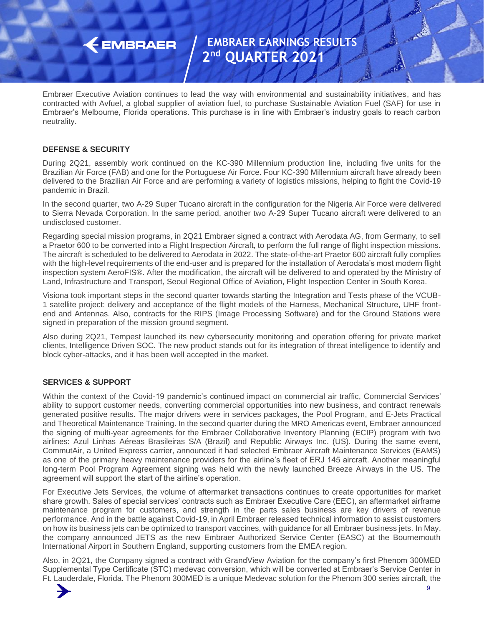Embraer Executive Aviation continues to lead the way with environmental and sustainability initiatives, and has contracted with Avfuel, a global supplier of aviation fuel, to purchase Sustainable Aviation Fuel (SAF) for use in Embraer's Melbourne, Florida operations. This purchase is in line with Embraer's industry goals to reach carbon neutrality.

### **DEFENSE & SECURITY**

 $\leftarrow$  EMBRAER

During 2Q21, assembly work continued on the KC-390 Millennium production line, including five units for the Brazilian Air Force (FAB) and one for the Portuguese Air Force. Four KC-390 Millennium aircraft have already been delivered to the Brazilian Air Force and are performing a variety of logistics missions, helping to fight the Covid-19 pandemic in Brazil.

In the second quarter, two A-29 Super Tucano aircraft in the configuration for the Nigeria Air Force were delivered to Sierra Nevada Corporation. In the same period, another two A-29 Super Tucano aircraft were delivered to an undisclosed customer.

Regarding special mission programs, in 2Q21 Embraer signed a contract with Aerodata AG, from Germany, to sell a Praetor 600 to be converted into a Flight Inspection Aircraft, to perform the full range of flight inspection missions. The aircraft is scheduled to be delivered to Aerodata in 2022. The state-of-the-art Praetor 600 aircraft fully complies with the high-level requirements of the end-user and is prepared for the installation of Aerodata's most modern flight inspection system AeroFIS®. After the modification, the aircraft will be delivered to and operated by the Ministry of Land, Infrastructure and Transport, Seoul Regional Office of Aviation, Flight Inspection Center in South Korea.

Visiona took important steps in the second quarter towards starting the Integration and Tests phase of the VCUB-1 satellite project: delivery and acceptance of the flight models of the Harness, Mechanical Structure, UHF frontend and Antennas. Also, contracts for the RIPS (Image Processing Software) and for the Ground Stations were signed in preparation of the mission ground segment.

Also during 2Q21, Tempest launched its new cybersecurity monitoring and operation offering for private market clients, Intelligence Driven SOC. The new product stands out for its integration of threat intelligence to identify and block cyber-attacks, and it has been well accepted in the market.

#### **SERVICES & SUPPORT**

Within the context of the Covid-19 pandemic's continued impact on commercial air traffic, Commercial Services' ability to support customer needs, converting commercial opportunities into new business, and contract renewals generated positive results. The major drivers were in services packages, the Pool Program, and E-Jets Practical and Theoretical Maintenance Training. In the second quarter during the MRO Americas event, Embraer announced the signing of multi-year agreements for the Embraer Collaborative Inventory Planning (ECIP) program with two airlines: Azul Linhas Aéreas Brasileiras S/A (Brazil) and Republic Airways Inc. (US). During the same event, CommutAir, a United Express carrier, announced it had selected Embraer Aircraft Maintenance Services (EAMS) as one of the primary heavy maintenance providers for the airline's fleet of ERJ 145 aircraft. Another meaningful long-term Pool Program Agreement signing was held with the newly launched Breeze Airways in the US. The agreement will support the start of the airline's operation.

For Executive Jets Services, the volume of aftermarket transactions continues to create opportunities for market share growth. Sales of special services' contracts such as Embraer Executive Care (EEC), an aftermarket airframe maintenance program for customers, and strength in the parts sales business are key drivers of revenue performance. And in the battle against Covid-19, in April Embraer released technical information to assist customers on how its business jets can be optimized to transport vaccines, with guidance for all Embraer business jets. In May, the company announced JETS as the new Embraer Authorized Service Center (EASC) at the Bournemouth International Airport in Southern England, supporting customers from the EMEA region.

Also, in 2Q21, the Company signed a contract with GrandView Aviation for the company's first Phenom 300MED Supplemental Type Certificate (STC) medevac conversion, which will be converted at Embraer's Service Center in Ft. Lauderdale, Florida. The Phenom 300MED is a unique Medevac solution for the Phenom 300 series aircraft, the

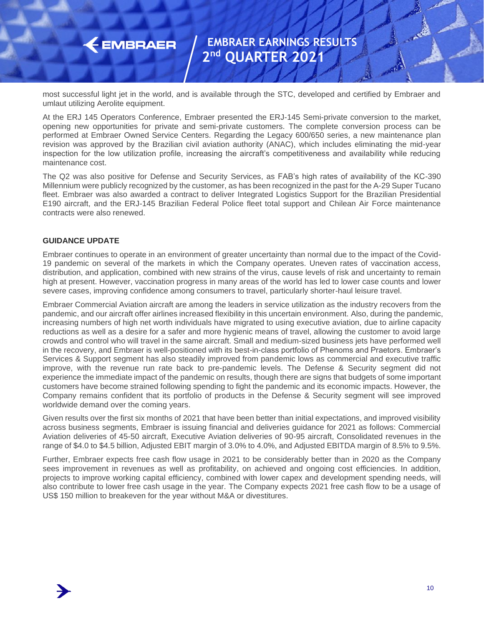most successful light jet in the world, and is available through the STC, developed and certified by Embraer and umlaut utilizing Aerolite equipment.

At the ERJ 145 Operators Conference, Embraer presented the ERJ-145 Semi-private conversion to the market, opening new opportunities for private and semi-private customers. The complete conversion process can be performed at Embraer Owned Service Centers. Regarding the Legacy 600/650 series, a new maintenance plan revision was approved by the Brazilian civil aviation authority (ANAC), which includes eliminating the mid-year inspection for the low utilization profile, increasing the aircraft's competitiveness and availability while reducing maintenance cost.

The Q2 was also positive for Defense and Security Services, as FAB's high rates of availability of the KC-390 Millennium were publicly recognized by the customer, as has been recognized in the past for the A-29 Super Tucano fleet. Embraer was also awarded a contract to deliver Integrated Logistics Support for the Brazilian Presidential E190 aircraft, and the ERJ-145 Brazilian Federal Police fleet total support and Chilean Air Force maintenance contracts were also renewed.

### **GUIDANCE UPDATE**

**EMBRAER** 

Embraer continues to operate in an environment of greater uncertainty than normal due to the impact of the Covid-19 pandemic on several of the markets in which the Company operates. Uneven rates of vaccination access, distribution, and application, combined with new strains of the virus, cause levels of risk and uncertainty to remain high at present. However, vaccination progress in many areas of the world has led to lower case counts and lower severe cases, improving confidence among consumers to travel, particularly shorter-haul leisure travel.

Embraer Commercial Aviation aircraft are among the leaders in service utilization as the industry recovers from the pandemic, and our aircraft offer airlines increased flexibility in this uncertain environment. Also, during the pandemic, increasing numbers of high net worth individuals have migrated to using executive aviation, due to airline capacity reductions as well as a desire for a safer and more hygienic means of travel, allowing the customer to avoid large crowds and control who will travel in the same aircraft. Small and medium-sized business jets have performed well in the recovery, and Embraer is well-positioned with its best-in-class portfolio of Phenoms and Praetors. Embraer's Services & Support segment has also steadily improved from pandemic lows as commercial and executive traffic improve, with the revenue run rate back to pre-pandemic levels. The Defense & Security segment did not experience the immediate impact of the pandemic on results, though there are signs that budgets of some important customers have become strained following spending to fight the pandemic and its economic impacts. However, the Company remains confident that its portfolio of products in the Defense & Security segment will see improved worldwide demand over the coming years.

Given results over the first six months of 2021 that have been better than initial expectations, and improved visibility across business segments, Embraer is issuing financial and deliveries guidance for 2021 as follows: Commercial Aviation deliveries of 45-50 aircraft, Executive Aviation deliveries of 90-95 aircraft, Consolidated revenues in the range of \$4.0 to \$4.5 billion, Adjusted EBIT margin of 3.0% to 4.0%, and Adjusted EBITDA margin of 8.5% to 9.5%.

Further, Embraer expects free cash flow usage in 2021 to be considerably better than in 2020 as the Company sees improvement in revenues as well as profitability, on achieved and ongoing cost efficiencies. In addition, projects to improve working capital efficiency, combined with lower capex and development spending needs, will also contribute to lower free cash usage in the year. The Company expects 2021 free cash flow to be a usage of US\$ 150 million to breakeven for the year without M&A or divestitures.

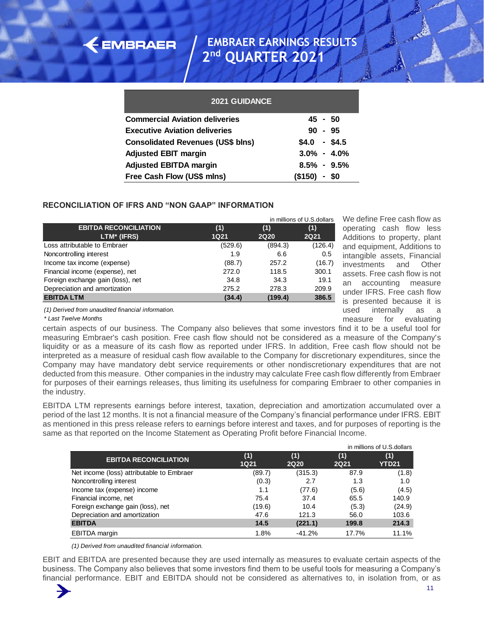| <b>2021 GUIDANCE</b>                     |                 |       |
|------------------------------------------|-----------------|-------|
| <b>Commercial Aviation deliveries</b>    | $45 - 50$       |       |
| <b>Executive Aviation deliveries</b>     | 90              | - 95  |
| <b>Consolidated Revenues (US\$ blns)</b> | $$4.0$ - \$4.5  |       |
| <b>Adjusted EBIT margin</b>              | $3.0\% - 4.0\%$ |       |
| <b>Adjusted EBITDA margin</b>            | $8.5\% - 9.5\%$ |       |
| Free Cash Flow (US\$ mlns)               | (\$150)         | - \$0 |

### **RECONCILIATION OF IFRS AND "NON GAAP" INFORMATION**

 $\leftarrow$  EMBRAER

|                                   |             | in millions of U.S. dollars |             |  |  |
|-----------------------------------|-------------|-----------------------------|-------------|--|--|
| <b>EBITDA RECONCILIATION</b>      | (1)         | (1)                         | (1)         |  |  |
| LTM* (IFRS)                       | <b>1Q21</b> | <b>2Q20</b>                 | <b>2Q21</b> |  |  |
| Loss attributable to Embraer      | (529.6)     | (894.3)                     | (126.4)     |  |  |
| Noncontrolling interest           | 1.9         | 6.6                         | 0.5         |  |  |
| Income tax income (expense)       | (88.7)      | 257.2                       | (16.7)      |  |  |
| Financial income (expense), net   | 272.0       | 118.5                       | 300.1       |  |  |
| Foreign exchange gain (loss), net | 34.8        | 34.3                        | 19.1        |  |  |
| Depreciation and amortization     | 275.2       | 278.3                       | 209.9       |  |  |
| <b>EBITDA LTM</b>                 | (34.4)      | (199.4)                     | 386.5       |  |  |

We define Free cash flow as operating cash flow less Additions to property, plant and equipment, Additions to intangible assets, Financial investments and Other assets. Free cash flow is not an accounting measure under IFRS. Free cash flow is presented because it is used internally as a measure for evaluating

*(1) Derived from unaudited financial information.*

*\* Last Twelve Months*

certain aspects of our business. The Company also believes that some investors find it to be a useful tool for measuring Embraer's cash position. Free cash flow should not be considered as a measure of the Company's liquidity or as a measure of its cash flow as reported under IFRS. In addition, Free cash flow should not be interpreted as a measure of residual cash flow available to the Company for discretionary expenditures, since the Company may have mandatory debt service requirements or other nondiscretionary expenditures that are not deducted from this measure. Other companies in the industry may calculate Free cash flow differently from Embraer for purposes of their earnings releases, thus limiting its usefulness for comparing Embraer to other companies in the industry.

EBITDA LTM represents earnings before interest, taxation, depreciation and amortization accumulated over a period of the last 12 months. It is not a financial measure of the Company's financial performance under IFRS. EBIT as mentioned in this press release refers to earnings before interest and taxes, and for purposes of reporting is the same as that reported on the Income Statement as Operating Profit before Financial Income.

|                                           |                    |                    |                    | in millions of U.S.dollars |
|-------------------------------------------|--------------------|--------------------|--------------------|----------------------------|
| <b>EBITDA RECONCILIATION</b>              | (1)<br><b>1Q21</b> | (1)<br><b>2Q20</b> | (1)<br><b>2Q21</b> | (1)<br><b>YTD21</b>        |
| Net income (loss) attributable to Embraer | (89.7)             | (315.3)            | 87.9               | (1.8)                      |
| Noncontrolling interest                   | (0.3)              | 2.7                | 1.3                | 1.0                        |
| Income tax (expense) income               | 1.1                | (77.6)             | (5.6)              | (4.5)                      |
| Financial income, net                     | 75.4               | 37.4               | 65.5               | 140.9                      |
| Foreign exchange gain (loss), net         | (19.6)             | 10.4               | (5.3)              | (24.9)                     |
| Depreciation and amortization             | 47.6               | 121.3              | 56.0               | 103.6                      |
| <b>EBITDA</b>                             | 14.5               | (221.1)            | 199.8              | 214.3                      |
| EBITDA margin                             | 1.8%               | $-41.2%$           | 17.7%              | 11.1%                      |

*(1) Derived from unaudited financial information.*

EBIT and EBITDA are presented because they are used internally as measures to evaluate certain aspects of the business. The Company also believes that some investors find them to be useful tools for measuring a Company's financial performance. EBIT and EBITDA should not be considered as alternatives to, in isolation from, or as

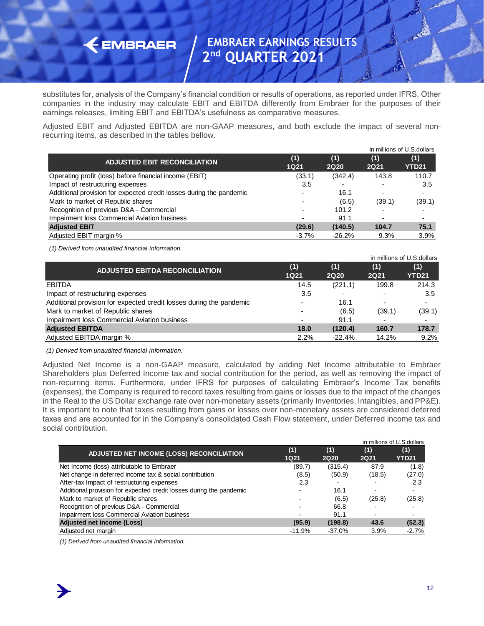substitutes for, analysis of the Company's financial condition or results of operations, as reported under IFRS. Other companies in the industry may calculate EBIT and EBITDA differently from Embraer for the purposes of their earnings releases, limiting EBIT and EBITDA's usefulness as comparative measures.

Adjusted EBIT and Adjusted EBITDA are non-GAAP measures, and both exclude the impact of several nonrecurring items, as described in the tables bellow.

|                                                                     |                    |                    |                          | in millions of U.S. dollars |
|---------------------------------------------------------------------|--------------------|--------------------|--------------------------|-----------------------------|
| <b>ADJUSTED EBIT RECONCILIATION</b>                                 | (1)<br><b>1Q21</b> | (1)<br><b>2Q20</b> | (1)<br><b>2Q21</b>       | (1)<br>YTD21                |
| Operating profit (loss) before financial income (EBIT)              | (33.1)             | (342.4)            | 143.8                    | 110.7                       |
| Impact of restructuring expenses                                    | 3.5                |                    | $\overline{\phantom{0}}$ | 3.5                         |
| Additional provision for expected credit losses during the pandemic |                    | 16.1               | $\overline{\phantom{0}}$ |                             |
| Mark to market of Republic shares                                   |                    | (6.5)              | (39.1)                   | (39.1)                      |
| Recognition of previous D&A - Commercial                            |                    | 101.2              |                          |                             |
| <b>Impairment loss Commercial Aviation business</b>                 |                    | 91.1               |                          |                             |
| <b>Adjusted EBIT</b>                                                | (29.6)             | (140.5)            | 104.7                    | 75.1                        |
| Adjusted EBIT margin %                                              | $-3.7\%$           | $-26.2%$           | 9.3%                     | 3.9%                        |

*(1) Derived from unaudited financial information.*

 $\leftarrow$  EMBRAER

|                                                                     |                          |                          |                          | in millions of U.S. dollars |
|---------------------------------------------------------------------|--------------------------|--------------------------|--------------------------|-----------------------------|
| <b>ADJUSTED EBITDA RECONCILIATION</b>                               | (1)<br><b>1Q21</b>       | (1)<br><b>2Q20</b>       | (1)<br>2Q21              | (1)<br><b>YTD21</b>         |
| <b>EBITDA</b>                                                       | 14.5                     | (221.1)                  | 199.8                    | 214.3                       |
| Impact of restructuring expenses                                    | 3.5                      | $\overline{\phantom{0}}$ | $\overline{\phantom{0}}$ | 3.5                         |
| Additional provision for expected credit losses during the pandemic | $\overline{\phantom{0}}$ | 16.1                     | $\overline{\phantom{0}}$ |                             |
| Mark to market of Republic shares                                   |                          | (6.5)                    | (39.1)                   | (39.1)                      |
| Impairment loss Commercial Aviation business                        | $\overline{a}$           | 91.1                     |                          |                             |
| <b>Adjusted EBITDA</b>                                              | 18.0                     | (120.4)                  | 160.7                    | 178.7                       |
| Adjusted EBITDA margin %                                            | 2.2%                     | $-22.4%$                 | 14.2%                    | 9.2%                        |

*(1) Derived from unaudited financial information.*

Adjusted Net Income is a non-GAAP measure, calculated by adding Net Income attributable to Embraer Shareholders plus Deferred Income tax and social contribution for the period, as well as removing the impact of non-recurring items. Furthermore, under IFRS for purposes of calculating Embraer's Income Tax benefits (expenses), the Company is required to record taxes resulting from gains or losses due to the impact of the changes in the Real to the US Dollar exchange rate over non-monetary assets (primarily Inventories, Intangibles, and PP&E). It is important to note that taxes resulting from gains or losses over non-monetary assets are considered deferred taxes and are accounted for in the Company's consolidated Cash Flow statement, under Deferred income tax and social contribution.

|                                                                     |                    |                    |                    | in millions of U.S. dollars |
|---------------------------------------------------------------------|--------------------|--------------------|--------------------|-----------------------------|
| ADJUSTED NET INCOME (LOSS) RECONCILIATION                           | (1)<br><b>1Q21</b> | (1)<br><b>2Q20</b> | (1)<br><b>2Q21</b> | (1)<br><b>YTD21</b>         |
| Net Income (loss) attributable to Embraer                           | (89.7)             | (315.4)            | 87.9               | (1.8)                       |
| Net change in deferred income tax & social contribution             | (8.5)              | (50.9)             | (18.5)             | (27.0)                      |
| After-tax Impact of restructuring expenses                          | 2.3                |                    |                    | 2.3                         |
| Additional provision for expected credit losses during the pandemic |                    | 16.1               | $\blacksquare$     |                             |
| Mark to market of Republic shares                                   |                    | (6.5)              | (25.8)             | (25.8)                      |
| Recognition of previous D&A - Commercial                            |                    | 66.8               |                    |                             |
| Impairment loss Commercial Aviation business                        |                    | 91.1               | $\blacksquare$     |                             |
| Adjusted net income (Loss)                                          | (95.9)             | (198.8)            | 43.6               | (52.3)                      |
| Adjusted net margin                                                 | $-11.9%$           | $-37.0%$           | 3.9%               | $-2.7%$                     |

*(1) Derived from unaudited financial information.*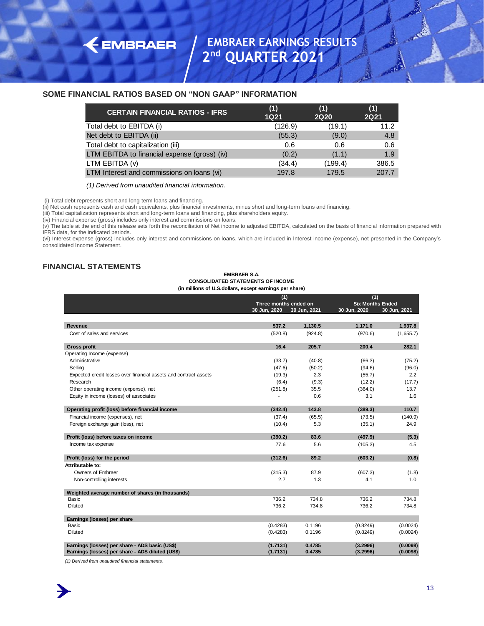#### **SOME FINANCIAL RATIOS BASED ON "NON GAAP" INFORMATION**

| <b>CERTAIN FINANCIAL RATIOS - IFRS</b>       | (1)<br><b>1Q21</b> | (1)<br><b>2Q20</b> | (1)<br>2Q21 |
|----------------------------------------------|--------------------|--------------------|-------------|
| Total debt to EBITDA (i)                     | (126.9)            | (19.1)             | 11.2        |
| Net debt to EBITDA (ii)                      | (55.3)             | (9.0)              | 4.8         |
| Total debt to capitalization (iii)           | 0.6                | 0.6                | 0.6         |
| LTM EBITDA to financial expense (gross) (iv) | (0.2)              | (1.1)              | 1.9         |
| LTM EBITDA (v)                               | (34.4)             | (199.4)            | 386.5       |
| LTM Interest and commissions on loans (vi)   | 197.8              | 179.5              | 207.7       |

*(1) Derived from unaudited financial information.*

(i) Total debt represents short and long-term loans and financing.

**EMBRAER** 

(ii) Net cash represents cash and cash equivalents, plus financial investments, minus short and long-term loans and financing.

(iii) Total capitalization represents short and long-term loans and financing, plus shareholders equity.

(iv) Financial expense (gross) includes only interest and commissions on loans.

(v) The table at the end of this release sets forth the reconciliation of Net income to adjusted EBITDA, calculated on the basis of financial information prepared with IFRS data, for the indicated periods.

(vi) Interest expense (gross) includes only interest and commissions on loans, which are included in Interest income (expense), net presented in the Company's consolidated Income Statement.

#### **FINANCIAL STATEMENTS**

#### **EMBRAER S.A. CONSOLIDATED STATEMENTS OF INCOME (in millions of U.S.dollars, except earnings per share)**

|                                                                  | (1)          |                       |              | (1)                     |  |  |
|------------------------------------------------------------------|--------------|-----------------------|--------------|-------------------------|--|--|
|                                                                  |              | Three months ended on |              | <b>Six Months Ended</b> |  |  |
|                                                                  | 30 Jun, 2020 | 30 Jun, 2021          | 30 Jun, 2020 | 30 Jun, 2021            |  |  |
|                                                                  |              |                       |              |                         |  |  |
| Revenue                                                          | 537.2        | 1,130.5               | 1,171.0      | 1,937.8                 |  |  |
| Cost of sales and services                                       | (520.8)      | (924.8)               | (970.6)      | (1,655.7)               |  |  |
| <b>Gross profit</b>                                              | 16.4         | 205.7                 | 200.4        | 282.1                   |  |  |
| Operating Income (expense)                                       |              |                       |              |                         |  |  |
| Administrative                                                   | (33.7)       | (40.8)                | (66.3)       | (75.2)                  |  |  |
| Selling                                                          | (47.6)       | (50.2)                | (94.6)       | (96.0)                  |  |  |
| Expected credit losses over financial assets and contract assets | (19.3)       | 2.3                   | (55.7)       | 2.2                     |  |  |
| Research                                                         | (6.4)        |                       |              |                         |  |  |
|                                                                  |              | (9.3)                 | (12.2)       | (17.7)                  |  |  |
| Other operating income (expense), net                            | (251.8)      | 35.5                  | (364.0)      | 13.7                    |  |  |
| Equity in income (losses) of associates                          |              | 0.6                   | 3.1          | 1.6                     |  |  |
| Operating profit (loss) before financial income                  | (342.4)      | 143.8                 | (389.3)      | 110.7                   |  |  |
| Financial income (expenses), net                                 | (37.4)       | (65.5)                | (73.5)       | (140.9)                 |  |  |
| Foreign exchange gain (loss), net                                | (10.4)       | 5.3                   | (35.1)       | 24.9                    |  |  |
| Profit (loss) before taxes on income                             | (390.2)      | 83.6                  | (497.9)      | (5.3)                   |  |  |
| Income tax expense                                               | 77.6         | 5.6                   | (105.3)      | 4.5                     |  |  |
| Profit (loss) for the period                                     | (312.6)      | 89.2                  | (603.2)      | (0.8)                   |  |  |
| Attributable to:                                                 |              |                       |              |                         |  |  |
| Owners of Embraer                                                | (315.3)      | 87.9                  | (607.3)      | (1.8)                   |  |  |
| Non-controlling interests                                        | 2.7          | 1.3                   | 4.1          | 1.0                     |  |  |
|                                                                  |              |                       |              |                         |  |  |
| Weighted average number of shares (in thousands)                 |              |                       |              |                         |  |  |
| <b>Basic</b>                                                     | 736.2        | 734.8                 | 736.2        | 734.8                   |  |  |
| Diluted                                                          | 736.2        | 734.8                 | 736.2        | 734.8                   |  |  |
| Earnings (losses) per share                                      |              |                       |              |                         |  |  |
| <b>Basic</b>                                                     | (0.4283)     | 0.1196                | (0.8249)     | (0.0024)                |  |  |
| Diluted                                                          | (0.4283)     | 0.1196                | (0.8249)     | (0.0024)                |  |  |
| Earnings (losses) per share - ADS basic (US\$)                   | (1.7131)     | 0.4785                | (3.2996)     | (0.0098)                |  |  |
| Earnings (losses) per share - ADS diluted (US\$)                 | (1.7131)     | 0.4785                | (3.2996)     | (0.0098)                |  |  |

*(1) Derived from unaudited financial statements.*

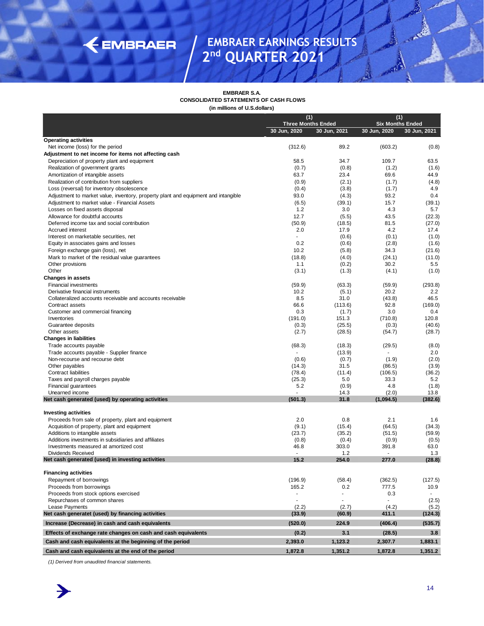# KEMBRAER

### **EMBRAER EARNINGS RESULTS 2 nd QUARTER 2021**

**EMBRAER S.A. CONSOLIDATED STATEMENTS OF CASH FLOWS**

**(in millions of U.S.dollars)**

|                                                                                                                                     | (1)<br><b>Three Months Ended</b> |                          | (1)<br><b>Six Months Ended</b> |               |
|-------------------------------------------------------------------------------------------------------------------------------------|----------------------------------|--------------------------|--------------------------------|---------------|
|                                                                                                                                     | 30 Jun, 2020                     | 30 Jun, 2021             | 30 Jun, 2020                   | 30 Jun, 2021  |
| <b>Operating activities</b>                                                                                                         |                                  |                          |                                |               |
| Net income (loss) for the period                                                                                                    | (312.6)                          | 89.2                     | (603.2)                        | (0.8)         |
| Adjustment to net income for items not affecting cash                                                                               |                                  |                          |                                |               |
| Depreciation of property plant and equipment                                                                                        | 58.5                             | 34.7                     | 109.7                          | 63.5          |
| Realization of government grants                                                                                                    | (0.7)                            | (0.8)                    | (1.2)                          | (1.6)         |
| Amortization of intangible assets                                                                                                   | 63.7                             | 23.4                     | 69.6                           | 44.9          |
| Realization of contribution from suppliers                                                                                          | (0.9)                            | (2.1)                    | (1.7)                          | (4.8)<br>4.9  |
| Loss (reversal) for inventory obsolescence                                                                                          | (0.4)<br>93.0                    | (3.8)                    | (1.7)<br>93.2                  | 0.4           |
| Adjustment to market value, inventory, property plant and equipment and intangible<br>Adjustment to market value - Financial Assets | (6.5)                            | (4.3)<br>(39.1)          | 15.7                           | (39.1)        |
| Losses on fixed assets disposal                                                                                                     | 1.2                              | 3.0                      | 4.3                            | 5.7           |
| Allowance for doubtful accounts                                                                                                     | 12.7                             | (5.5)                    | 43.5                           | (22.3)        |
| Deferred income tax and social contribution                                                                                         | (50.9)                           | (18.5)                   | 81.5                           | (27.0)        |
| Accrued interest                                                                                                                    | 2.0                              | 17.9                     | 4.2                            | 17.4          |
| Interest on marketable securities, net                                                                                              |                                  | (0.6)                    | (0.1)                          | (1.0)         |
| Equity in associates gains and losses                                                                                               | 0.2                              | (0.6)                    | (2.8)                          | (1.6)         |
| Foreign exchange gain (loss), net                                                                                                   | 10.2                             | (5.8)                    | 34.3                           | (21.6)        |
| Mark to market of the residual value guarantees                                                                                     | (18.8)                           | (4.0)                    | (24.1)                         | (11.0)        |
| Other provisions                                                                                                                    | 1.1                              | (0.2)                    | 30.2                           | 5.5           |
| Other                                                                                                                               | (3.1)                            | (1.3)                    | (4.1)                          | (1.0)         |
| <b>Changes in assets</b>                                                                                                            |                                  |                          |                                |               |
| <b>Financial investments</b>                                                                                                        | (59.9)                           | (63.3)                   | (59.9)<br>20.2                 | (293.8)       |
| Derivative financial instruments<br>Collateralized accounts receivable and accounts receivable                                      | 10.2<br>8.5                      | (5.1)<br>31.0            | (43.8)                         | 2.2<br>46.5   |
| Contract assets                                                                                                                     | 66.6                             | (113.6)                  | 92.8                           | (169.0)       |
| Customer and commercial financing                                                                                                   | 0.3                              | (1.7)                    | 3.0                            | 0.4           |
| Inventories                                                                                                                         | (191.0)                          | 151.3                    | (710.8)                        | 120.8         |
| Guarantee deposits                                                                                                                  | (0.3)                            | (25.5)                   | (0.3)                          | (40.6)        |
| Other assets                                                                                                                        | (2.7)                            | (28.5)                   | (54.7)                         | (28.7)        |
| <b>Changes in liabilities</b>                                                                                                       |                                  |                          |                                |               |
| Trade accounts payable                                                                                                              | (68.3)                           | (18.3)                   | (29.5)                         | (8.0)         |
| Trade accounts payable - Supplier finance                                                                                           |                                  | (13.9)                   |                                | 2.0           |
| Non-recourse and recourse debt                                                                                                      | (0.6)                            | (0.7)                    | (1.9)                          | (2.0)         |
| Other payables                                                                                                                      | (14.3)                           | 31.5                     | (86.5)                         | (3.9)         |
| Contract liabilities<br>Taxes and payroll charges payable                                                                           | (78.4)<br>(25.3)                 | (11.4)<br>5.0            | (106.5)<br>33.3                | (36.2)<br>5.2 |
| Financial guarantees                                                                                                                | 5.2                              | (0.9)                    | 4.8                            | (1.8)         |
| Unearned income                                                                                                                     |                                  | 14.3                     | (2.0)                          | 13.8          |
| Net cash generated (used) by operating activities                                                                                   | (501.3)                          | 31.8                     | (1,094.5)                      | (382.6)       |
|                                                                                                                                     |                                  |                          |                                |               |
| <b>Investing activities</b>                                                                                                         |                                  |                          |                                |               |
| Proceeds from sale of property, plant and equipment                                                                                 | 2.0                              | 0.8                      | 2.1                            | 1.6           |
| Acquisition of property, plant and equipment                                                                                        | (9.1)                            | (15.4)                   | (64.5)                         | (34.3)        |
| Additions to intangible assets                                                                                                      | (23.7)                           | (35.2)                   | (51.5)                         | (59.9)        |
| Additions investments in subsidiaries and affiliates<br>Investments measured at amortized cost                                      | (0.8)<br>46.8                    | (0.4)<br>303.0           | (0.9)<br>391.8                 | (0.5)<br>63.0 |
| <b>Dividends Received</b>                                                                                                           |                                  | 1.2                      | $\sim$                         | 1.3           |
| Net cash generated (used) in investing activities                                                                                   | 15.2                             | 254.0                    | 277.0                          | (28.8)        |
|                                                                                                                                     |                                  |                          |                                |               |
| <b>Financing activities</b><br>Repayment of borrowings                                                                              | (196.9)                          |                          | (362.5)                        | (127.5)       |
| Proceeds from borrowings                                                                                                            | 165.2                            | (58.4)<br>0.2            | 777.5                          | 10.9          |
| Proceeds from stock options exercised                                                                                               |                                  | $\overline{\phantom{a}}$ | 0.3                            |               |
| Repurchases of common shares                                                                                                        |                                  |                          |                                | (2.5)         |
| Lease Payments                                                                                                                      | (2.2)                            | (2.7)                    | (4.2)                          | (5.2)         |
| Net cash generatet (used) by financing activities                                                                                   | (33.9)                           | (60.9)                   | 411.1                          | (124.3)       |
| Increase (Decrease) in cash and cash equivalents                                                                                    | (520.0)                          | 224.9                    | (406.4)                        | (535.7)       |
| Effects of exchange rate changes on cash and cash equivalents                                                                       | (0.2)                            | 3.1                      | (28.5)                         | 3.8           |
| Cash and cash equivalents at the beginning of the period                                                                            | 2,393.0                          | 1,123.2                  | 2,307.7                        | 1,883.1       |
| Cash and cash equivalents at the end of the period                                                                                  | 1,872.8                          | 1,351.2                  | 1,872.8                        | 1,351.2       |

*(1) Derived from unaudited financial statements.*

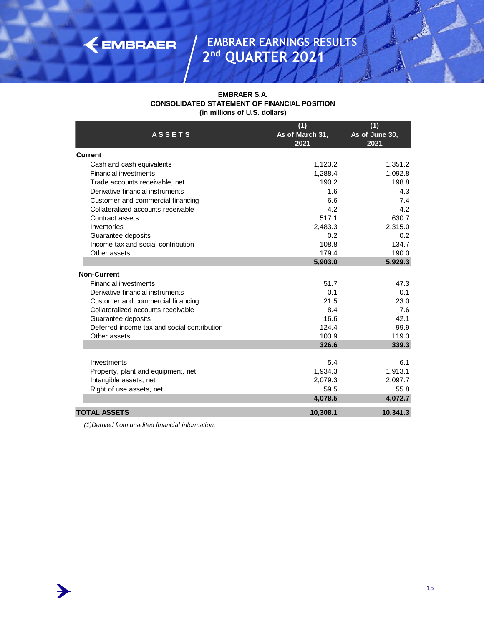#### **EMBRAER S.A. CONSOLIDATED STATEMENT OF FINANCIAL POSITION (in millions of U.S. dollars)**

| <b>ASSETS</b>                               | (1)<br>As of March 31, | (1)<br>As of June 30, |
|---------------------------------------------|------------------------|-----------------------|
|                                             | 2021                   | 2021                  |
| Current                                     |                        |                       |
| Cash and cash equivalents                   | 1,123.2                | 1,351.2               |
| <b>Financial investments</b>                | 1,288.4                | 1,092.8               |
| Trade accounts receivable, net              | 190.2                  | 198.8                 |
| Derivative financial instruments            | 1.6                    | 4.3                   |
| Customer and commercial financing           | 6.6                    | 7.4                   |
| Collateralized accounts receivable          | 4.2                    | 4.2                   |
| Contract assets                             | 517.1                  | 630.7                 |
| Inventories                                 | 2,483.3                | 2,315.0               |
| Guarantee deposits                          | 0.2                    | 0.2                   |
| Income tax and social contribution          | 108.8                  | 134.7                 |
| Other assets                                | 179.4                  | 190.0                 |
|                                             | 5,903.0                | 5,929.3               |
| <b>Non-Current</b>                          |                        |                       |
| <b>Financial investments</b>                | 51.7                   | 47.3                  |
| Derivative financial instruments            | 0.1                    | 0.1                   |
| Customer and commercial financing           | 21.5                   | 23.0                  |
| Collateralized accounts receivable          | 8.4                    | 7.6                   |
| Guarantee deposits                          | 16.6                   | 42.1                  |
| Deferred income tax and social contribution | 124.4                  | 99.9                  |
| Other assets                                | 103.9                  | 119.3                 |
|                                             | 326.6                  | 339.3                 |
|                                             |                        |                       |
| Investments                                 | 5.4                    | 6.1                   |
| Property, plant and equipment, net          | 1,934.3                | 1,913.1               |
| Intangible assets, net                      | 2,079.3                | 2,097.7               |
| Right of use assets, net                    | 59.5<br>4,078.5        | 55.8<br>4,072.7       |
|                                             |                        |                       |
| TOTAL ASSETS                                | 10,308.1               | 10,341.3              |

*(1)Derived from unadited financial information.*

**EMBRAER** 



RE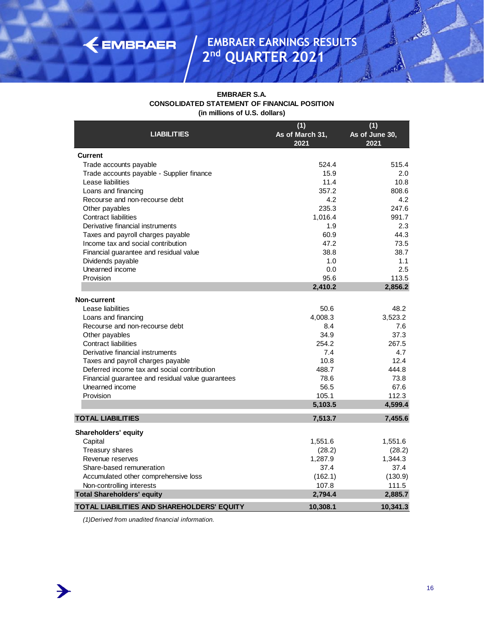| <b>EMBRAER S.A.</b>                          |
|----------------------------------------------|
| CONSOLIDATED STATEMENT OF FINANCIAL POSITION |
| (in millions of U.S. dollars)                |

| <b>LIABILITIES</b>                                | (1)<br>As of March 31,<br>2021 | (1)<br>As of June 30,<br>2021 |
|---------------------------------------------------|--------------------------------|-------------------------------|
| <b>Current</b>                                    |                                |                               |
| Trade accounts payable                            | 524.4                          | 515.4                         |
| Trade accounts payable - Supplier finance         | 15.9                           | 2.0                           |
| Lease liabilities                                 | 11.4                           | 10.8                          |
| Loans and financing                               | 357.2                          | 808.6                         |
| Recourse and non-recourse debt                    | 4.2                            | 4.2                           |
| Other payables                                    | 235.3                          | 247.6                         |
| <b>Contract liabilities</b>                       | 1,016.4                        | 991.7                         |
| Derivative financial instruments                  | 1.9                            | 2.3                           |
| Taxes and payroll charges payable                 | 60.9                           | 44.3                          |
| Income tax and social contribution                | 47.2                           | 73.5                          |
| Financial quarantee and residual value            | 38.8                           | 38.7                          |
| Dividends payable                                 | 1.0                            | 1.1                           |
| Unearned income                                   | 0.0                            | 2.5                           |
| Provision                                         | 95.6                           | 113.5                         |
|                                                   | 2,410.2                        | 2,856.2                       |
| <b>Non-current</b>                                |                                |                               |
| Lease liabilities                                 | 50.6                           | 48.2                          |
| Loans and financing                               | 4,008.3                        | 3,523.2                       |
| Recourse and non-recourse debt                    | 8.4                            | 7.6                           |
| Other payables                                    | 34.9                           | 37.3                          |
| <b>Contract liabilities</b>                       | 254.2                          | 267.5                         |
| Derivative financial instruments                  | 7.4                            | 4.7                           |
| Taxes and payroll charges payable                 | 10.8                           | 12.4                          |
| Deferred income tax and social contribution       | 488.7                          | 444.8                         |
| Financial guarantee and residual value guarantees | 78.6                           | 73.8                          |
| Unearned income                                   | 56.5                           | 67.6                          |
| Provision                                         | 105.1                          | 112.3                         |
|                                                   | 5,103.5                        | 4,599.4                       |
| <b>TOTAL LIABILITIES</b>                          | 7,513.7                        | 7,455.6                       |
| Shareholders' equity                              |                                |                               |
| Capital                                           | 1,551.6                        | 1,551.6                       |
| Treasury shares                                   | (28.2)                         | (28.2)                        |
| Revenue reserves                                  | 1,287.9                        | 1,344.3                       |
| Share-based remuneration                          | 37.4                           | 37.4                          |
| Accumulated other comprehensive loss              | (162.1)                        | (130.9)                       |
| Non-controlling interests                         | 107.8                          | 111.5                         |
| <b>Total Shareholders' equity</b>                 | 2,794.4                        | 2,885.7                       |
| TOTAL LIABILITIES AND SHAREHOLDERS' EQUITY        | 10,308.1                       | 10,341.3                      |

*(1)Derived from unadited financial information.*

EMBRAER